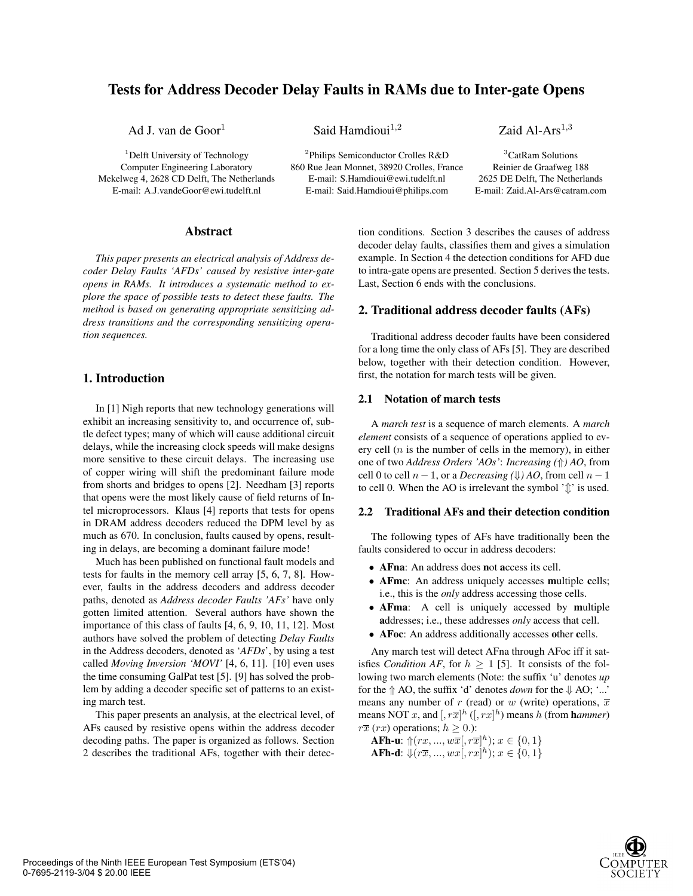# **Tests for Address Decoder Delay Faults in RAMs due to Inter-gate Opens**

<sup>1</sup>Delft University of Technology Computer Engineering Laboratory Mekelweg 4, 2628 CD Delft, The Netherlands E-mail: A.J.vandeGoor@ewi.tudelft.nl

Ad J. van de Goor<sup>1</sup> Said Hamdioui<sup>1,2</sup> Zaid Al-Ars<sup>1,3</sup>

<sup>2</sup>Philips Semiconductor Crolles R&D 860 Rue Jean Monnet, 38920 Crolles, France E-mail: S.Hamdioui@ewi.tudelft.nl E-mail: Said.Hamdioui@philips.com

<sup>3</sup>CatRam Solutions Reinier de Graafweg 188 2625 DE Delft, The Netherlands E-mail: Zaid.Al-Ars@catram.com

### **Abstract**

*This paper presents an electrical analysis of Address decoder Delay Faults 'AFDs' caused by resistive inter-gate opens in RAMs. It introduces a systematic method to explore the space of possible tests to detect these faults. The method is based on generating appropriate sensitizing address transitions and the corresponding sensitizing operation sequences.*

# **1. Introduction**

In [1] Nigh reports that new technology generations will exhibit an increasing sensitivity to, and occurrence of, subtle defect types; many of which will cause additional circuit delays, while the increasing clock speeds will make designs more sensitive to these circuit delays. The increasing use of copper wiring will shift the predominant failure mode from shorts and bridges to opens [2]. Needham [3] reports that opens were the most likely cause of field returns of Intel microprocessors. Klaus [4] reports that tests for opens in DRAM address decoders reduced the DPM level by as much as 670. In conclusion, faults caused by opens, resulting in delays, are becoming a dominant failure mode!

Much has been published on functional fault models and tests for faults in the memory cell array [5, 6, 7, 8]. However, faults in the address decoders and address decoder paths, denoted as *Address decoder Faults 'AFs'* have only gotten limited attention. Several authors have shown the importance of this class of faults [4, 6, 9, 10, 11, 12]. Most authors have solved the problem of detecting *Delay Faults* in the Address decoders, denoted as '*AFDs*', by using a test called *Moving Inversion 'MOVI'* [4, 6, 11]. [10] even uses the time consuming GalPat test [5]. [9] has solved the problem by adding a decoder specific set of patterns to an existing march test.

This paper presents an analysis, at the electrical level, of AFs caused by resistive opens within the address decoder decoding paths. The paper is organized as follows. Section 2 describes the traditional AFs, together with their detection conditions. Section 3 describes the causes of address decoder delay faults, classifies them and gives a simulation example. In Section 4 the detection conditions for AFD due to intra-gate opens are presented. Section 5 derives the tests. Last, Section 6 ends with the conclusions.

# **2. Traditional address decoder faults (AFs)**

Traditional address decoder faults have been considered for a long time the only class of AFs [5]. They are described below, together with their detection condition. However, first, the notation for march tests will be given.

# **2.1 Notation of march tests**

A *march test* is a sequence of march elements. A *march element* consists of a sequence of operations applied to every cell (*n* is the number of cells in the memory), in either one of two *Address Orders 'AOs'*: *Increasing (*⇑*) AO*, from cell 0 to cell  $n-1$ , or a *Decreasing* ( $\downarrow$ ) AO, from cell  $n-1$ to cell 0. When the AO is irrelevant the symbol  $\hat{f}$  is used.

### **2.2 Traditional AFs and their detection condition**

The following types of AFs have traditionally been the faults considered to occur in address decoders:

- **AFna**: An address does **n**ot **a**ccess its cell.
- **AFmc**: An address uniquely accesses **m**ultiple **c**ells; i.e., this is the *only* address accessing those cells.
- **AFma**: A cell is uniquely accessed by **m**ultiple **a**ddresses; i.e., these addresses *only* access that cell.
- **AFoc**: An address additionally accesses **o**ther **c**ells.

Any march test will detect AFna through AFoc iff it satisfies *Condition AF*, for  $h \geq 1$  [5]. It consists of the following two march elements (Note: the suffix 'u' denotes *up* for the  $\Uparrow$  AO, the suffix 'd' denotes *down* for the  $\Downarrow$  AO; '...' means any number of *r* (read) or *w* (write) operations,  $\overline{x}$ means NOT *x*, and  $\left[$ ,  $r\overline{x}\right]$ <sup>*h*</sup> ( $\left[$ ,  $rx\right]$ <sup>*h*</sup>) means *h* (from **h***ammer*)  $r\overline{x}$  (*rx*) operations;  $h \geq 0$ .):

**AFh-u**:  $\Uparrow (rx, ..., w\overline{x}, r\overline{x}]^h$ );  $x \in \{0, 1\}$ **AFh-d**:  $\psi(r\overline{x},...,wx[, rx]^h)$ ;  $x \in \{0,1\}$ 

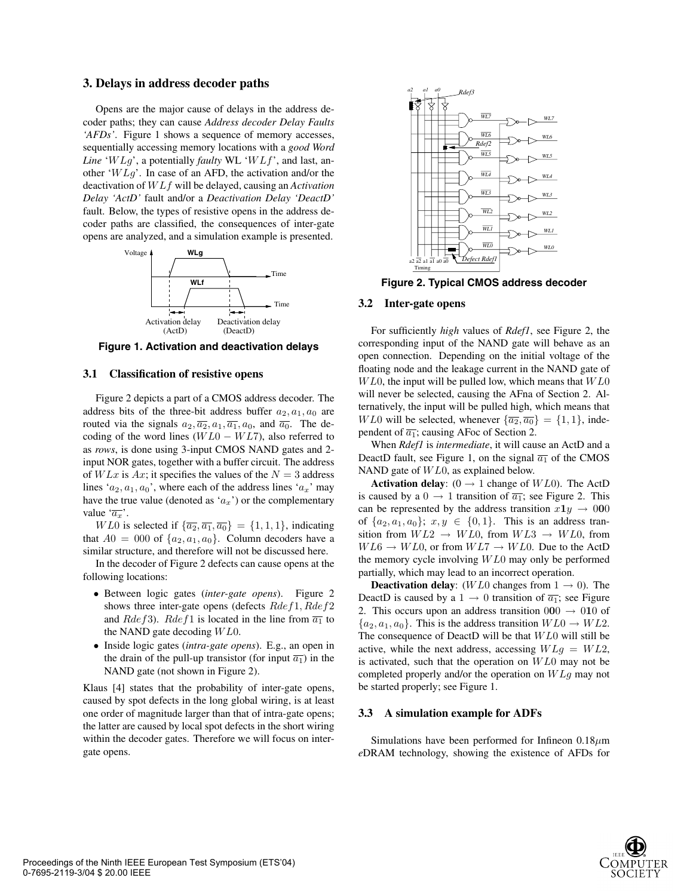### **3. Delays in address decoder paths**

Opens are the major cause of delays in the address decoder paths; they can cause *Address decoder Delay Faults 'AFDs'*. Figure 1 shows a sequence of memory accesses, sequentially accessing memory locations with a *good Word Line* '*W Lg*', a potentially *faulty* WL '*W Lf*', and last, another '*W Lg*'. In case of an AFD, the activation and/or the deactivation of *W Lf* will be delayed, causing an *Activation Delay 'ActD'* fault and/or a *Deactivation Delay 'DeactD'* fault. Below, the types of resistive opens in the address decoder paths are classified, the consequences of inter-gate opens are analyzed, and a simulation example is presented.



**Figure 1. Activation and deactivation delays**

#### **3.1 Classification of resistive opens**

Figure 2 depicts a part of a CMOS address decoder. The address bits of the three-bit address buffer  $a_2, a_1, a_0$  are routed via the signals  $a_2, \overline{a_2}, a_1, \overline{a_1}, a_0$ , and  $\overline{a_0}$ . The decoding of the word lines (*W L*0 − *W L*7), also referred to as *rows*, is done using 3-input CMOS NAND gates and 2 input NOR gates, together with a buffer circuit. The address of  $W Lx$  is  $Ax$ ; it specifies the values of the  $N = 3$  address lines ' $a_2$ ,  $a_1$ ,  $a_0$ ', where each of the address lines ' $a_x$ ' may have the true value (denoted as  $(a_x)$ ) or the complementary value  $\overrightarrow{a_x}$ .

*WL*0 is selected if  $\{\overline{a_2}, \overline{a_1}, \overline{a_0}\} = \{1, 1, 1\}$ , indicating that  $A0 = 000$  of  $\{a_2, a_1, a_0\}$ . Column decoders have a similar structure, and therefore will not be discussed here.

In the decoder of Figure 2 defects can cause opens at the following locations:

- Between logic gates (*inter-gate opens*). Figure 2 shows three inter-gate opens (defects *Rdef*1*, Rdef*2 and *Rdef*3). *Rdef*1 is located in the line from  $\overline{a_1}$  to the NAND gate decoding *W L*0.
- Inside logic gates (*intra-gate opens*). E.g., an open in the drain of the pull-up transistor (for input  $\overline{a_1}$ ) in the NAND gate (not shown in Figure 2).

Klaus [4] states that the probability of inter-gate opens, caused by spot defects in the long global wiring, is at least one order of magnitude larger than that of intra-gate opens; the latter are caused by local spot defects in the short wiring within the decoder gates. Therefore we will focus on intergate opens.



**Figure 2. Typical CMOS address decoder**

### **3.2 Inter-gate opens**

For sufficiently *high* values of *Rdef1*, see Figure 2, the corresponding input of the NAND gate will behave as an open connection. Depending on the initial voltage of the floating node and the leakage current in the NAND gate of *W L*0, the input will be pulled low, which means that *W L*0 will never be selected, causing the AFna of Section 2. Alternatively, the input will be pulled high, which means that *WL*0 will be selected, whenever  $\{\overline{a_2}, \overline{a_0}\} = \{1, 1\}$ , independent of  $\overline{a_1}$ ; causing AFoc of Section 2.

When *Rdef1* is *intermediate*, it will cause an ActD and a DeactD fault, see Figure 1, on the signal  $\overline{a_1}$  of the CMOS NAND gate of *W L*0, as explained below.

**Activation delay:**  $(0 \rightarrow 1 \text{ change of } WL0)$ . The ActD is caused by a  $0 \rightarrow 1$  transition of  $\overline{a_1}$ ; see Figure 2. This can be represented by the address transition  $x\mathbf{1}y \rightarrow 000$ of  $\{a_2, a_1, a_0\}$ ;  $x, y \in \{0, 1\}$ . This is an address transition from  $W L2 \rightarrow W L0$ , from  $W L3 \rightarrow W L0$ , from  $W L6 \rightarrow W L0$ , or from  $W L7 \rightarrow W L0$ . Due to the ActD the memory cycle involving *W L*0 may only be performed partially, which may lead to an incorrect operation.

**Deactivation delay:** (*WL*0 changes from  $1 \rightarrow 0$ ). The DeactD is caused by a 1  $\rightarrow$  0 transition of  $\overline{a_1}$ ; see Figure 2. This occurs upon an address transition  $000 \rightarrow 010$  of  ${a_2, a_1, a_0}$ . This is the address transition  $W L0 \rightarrow W L2$ . The consequence of DeactD will be that *W L*0 will still be active, while the next address, accessing *W Lg* = *W L*2, is activated, such that the operation on *W L*0 may not be completed properly and/or the operation on *W Lg* may not be started properly; see Figure 1.

#### **3.3 A simulation example for ADFs**

Simulations have been performed for Infineon 0.18*µ*m *e*DRAM technology, showing the existence of AFDs for

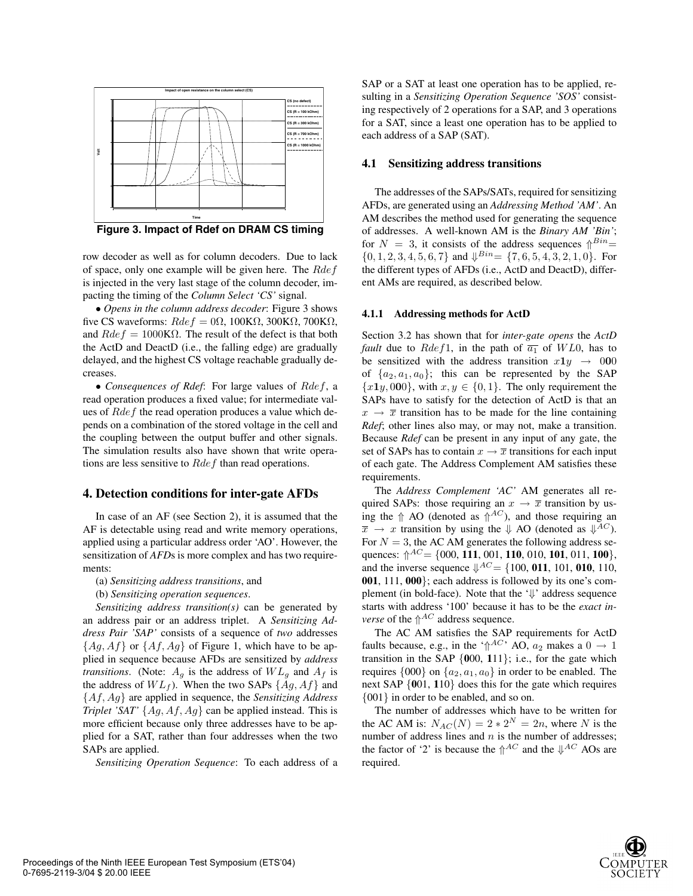

**Figure 3. Impact of Rdef on DRAM CS timing**

row decoder as well as for column decoders. Due to lack of space, only one example will be given here. The *Rdef* is injected in the very last stage of the column decoder, impacting the timing of the *Column Select 'CS'* signal.

• *Opens in the column address decoder*: Figure 3 shows five CS waveforms:  $Rdef = 0\Omega$ , 100KΩ, 300KΩ, 700KΩ, and  $Rdef = 1000 \text{K}\Omega$ . The result of the defect is that both the ActD and DeactD (i.e., the falling edge) are gradually delayed, and the highest CS voltage reachable gradually decreases.

• *Consequences of Rdef*: For large values of *Rdef*, a read operation produces a fixed value; for intermediate values of *Rdef* the read operation produces a value which depends on a combination of the stored voltage in the cell and the coupling between the output buffer and other signals. The simulation results also have shown that write operations are less sensitive to *Rdef* than read operations.

# **4. Detection conditions for inter-gate AFDs**

In case of an AF (see Section 2), it is assumed that the AF is detectable using read and write memory operations, applied using a particular address order 'AO'. However, the sensitization of *AFD*s is more complex and has two requirements:

(a) *Sensitizing address transitions*, and

(b) *Sensitizing operation sequences*.

*Sensitizing address transition(s)* can be generated by an address pair or an address triplet. A *Sensitizing Address Pair 'SAP'* consists of a sequence of *two* addresses  ${Ag, Af}$  or  ${Af, Ag}$  of Figure 1, which have to be applied in sequence because AFDs are sensitized by *address transitions.* (Note:  $A_g$  is the address of  $WL_g$  and  $A_f$  is the address of  $WL_f$ ). When the two SAPs  $\{Ag, Af\}$  and {*Af, Ag*} are applied in sequence, the *Sensitizing Address Triplet 'SAT'* {*Ag, Af, Ag*} can be applied instead. This is more efficient because only three addresses have to be applied for a SAT, rather than four addresses when the two SAPs are applied.

*Sensitizing Operation Sequence*: To each address of a

SAP or a SAT at least one operation has to be applied, resulting in a *Sensitizing Operation Sequence 'SOS'* consisting respectively of 2 operations for a SAP, and 3 operations for a SAT, since a least one operation has to be applied to each address of a SAP (SAT).

### **4.1 Sensitizing address transitions**

The addresses of the SAPs/SATs, required for sensitizing AFDs, are generated using an *Addressing Method 'AM'*. An AM describes the method used for generating the sequence of addresses. A well-known AM is the *Binary AM 'Bin'*; for  $N = 3$ , it consists of the address sequences  $\int B^{i n} =$  $\{0, 1, 2, 3, 4, 5, 6, 7\}$  and  $\Downarrow^{Bin}$  =  $\{7, 6, 5, 4, 3, 2, 1, 0\}$ . For the different types of AFDs (i.e., ActD and DeactD), different AMs are required, as described below.

### **4.1.1 Addressing methods for ActD**

Section 3.2 has shown that for *inter-gate opens* the *ActD fault* due to *Rdef*1, in the path of  $\overline{a_1}$  of *WL*0, has to be sensitized with the address transition  $x1y \rightarrow 000$ of  $\{a_2, a_1, a_0\}$ ; this can be represented by the SAP  ${x_1y,000}$ , with  $x, y \in \{0,1\}$ . The only requirement the SAPs have to satisfy for the detection of ActD is that an  $x \rightarrow \overline{x}$  transition has to be made for the line containing *Rdef*; other lines also may, or may not, make a transition. Because *Rdef* can be present in any input of any gate, the set of SAPs has to contain  $x \to \overline{x}$  transitions for each input of each gate. The Address Complement AM satisfies these requirements.

The *Address Complement 'AC'* AM generates all required SAPs: those requiring an  $x \to \overline{x}$  transition by using the  $\Uparrow$  AO (denoted as  $\Uparrow^{AC}$ ), and those requiring an  $\overline{x} \rightarrow x$  transition by using the  $\downarrow$  AO (denoted as  $\downarrow^{AC}$ ). For  $N = 3$ , the AC AM generates the following address sequences: ⇑*AC* = {000, **111**, 001, **110**, 010, **101**, 011, **100**}, and the inverse sequence  $\psi^{AC} = \{100, 011, 101, 010, 110,$ **001**, 111, **000**}; each address is followed by its one's complement (in bold-face). Note that the '⇓' address sequence starts with address '100' because it has to be the *exact inverse* of the  $\Uparrow^{AC}$  address sequence.

The AC AM satisfies the SAP requirements for ActD faults because, e.g., in the ' $\Uparrow^{AC}$ ' AO,  $a_2$  makes a  $0 \rightarrow 1$ transition in the SAP {**0**00, **1**11}; i.e., for the gate which requires  $\{000\}$  on  $\{a_2, a_1, a_0\}$  in order to be enabled. The next SAP {**0**01, **1**10} does this for the gate which requires {001} in order to be enabled, and so on.

The number of addresses which have to be written for the AC AM is:  $N_{AC}(N)=2 * 2^N = 2n$ , where *N* is the number of address lines and *n* is the number of addresses; the factor of '2' is because the  $\int_{0}^{AC}$  and the  $\int_{0}^{AC}$  AOs are required.

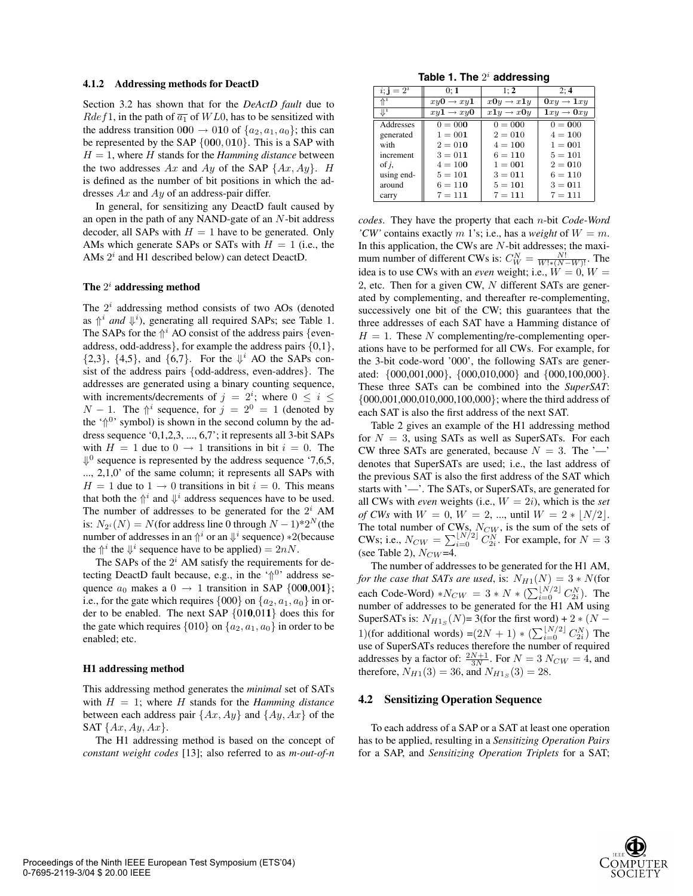#### **4.1.2 Addressing methods for DeactD**

Section 3.2 has shown that for the *DeActD fault* due to *Rdef*1, in the path of  $\overline{a_1}$  of *WL*0, has to be sensitized with the address transition  $000 \rightarrow 010$  of  $\{a_2, a_1, a_0\}$ ; this can be represented by the SAP {0**0**0*,* 0**1**0}. This is a SAP with  $H = 1$ , where *H* stands for the *Hamming distance* between the two addresses  $Ax$  and  $Ay$  of the SAP  $\{Ax, Ay\}$ . *H* is defined as the number of bit positions in which the addresses *Ax* and *Ay* of an address-pair differ.

In general, for sensitizing any DeactD fault caused by an open in the path of any NAND-gate of an *N*-bit address decoder, all SAPs with  $H = 1$  have to be generated. Only AMs which generate SAPs or SATs with  $H = 1$  (i.e., the AMs 2*<sup>i</sup>* and H1 described below) can detect DeactD.

### **The** 2*<sup>i</sup>* **addressing method**

The 2*<sup>i</sup>* addressing method consists of two AOs (denoted as  $\int_1^i$  *and*  $\downarrow$ <sup>*i*</sup>), generating all required SAPs; see Table 1. The SAPs for the  $\hat{\mathbb{I}}^i$  AO consist of the address pairs {evenaddress, odd-address}, for example the address pairs  $\{0,1\}$ ,  $\{2,3\}$ ,  $\{4,5\}$ , and  $\{6,7\}$ . For the  $\Downarrow^i$  AO the SAPs consist of the address pairs {odd-address, even-addres}. The addresses are generated using a binary counting sequence, with increments/decrements of  $j = 2^i$ ; where  $0 \le i \le$ *N* − 1. The  $\Uparrow^i$  sequence, for  $j = 2^0 = 1$  (denoted by the ' $\uparrow^{0}$ ' symbol) is shown in the second column by the address sequence '0,1,2,3, ..., 6,7'; it represents all 3-bit SAPs with  $H = 1$  due to  $0 \rightarrow 1$  transitions in bit  $i = 0$ . The  $\Downarrow$ <sup>0</sup> sequence is represented by the address sequence '7,6,5, ..., 2,1,0' of the same column; it represents all SAPs with  $H = 1$  due to  $1 \rightarrow 0$  transitions in bit  $i = 0$ . This means that both the  $\hat{\theta}^i$  and  $\hat{\psi}^i$  address sequences have to be used. The number of addresses to be generated for the  $2<sup>i</sup>$  AM is:  $N_{2^i}(N) = N$ (for address line 0 through  $N - 1$ )\*2<sup>*N*</sup> (the number of addresses in an  $\uparrow$ <sup>*i*</sup> or an  $\downarrow$ <sup>*i*</sup> sequence) \*2(because the  $\psi^i$  the  $\psi^i$  sequence have to be applied) =  $2nN$ .

The SAPs of the  $2<sup>i</sup>$  AM satisfy the requirements for detecting DeactD fault because, e.g., in the ' $\Uparrow^{0}$ ' address sequence  $a_0$  makes a  $0 \rightarrow 1$  transition in SAP {000,001}; i.e., for the gate which requires  $\{000\}$  on  $\{a_2, a_1, a_0\}$  in order to be enabled. The next SAP {01**0**,01**1**} does this for the gate which requires  $\{010\}$  on  $\{a_2, a_1, a_0\}$  in order to be enabled; etc.

#### **H1 addressing method**

This addressing method generates the *minimal* set of SATs with  $H = 1$ ; where  $H$  stands for the *Hamming distance* between each address pair {*Ax, Ay*} and {*Ay, Ax*} of the SAT {*Ax, Ay, Ax*}.

The H1 addressing method is based on the concept of *constant weight codes* [13]; also referred to as *m-out-of-n*

**Table 1. The** 2*<sup>i</sup>* **addressing**

| $i$ ; j = $2^i$ | 0:1                   | 1: 2                  | 2:4                   |
|-----------------|-----------------------|-----------------------|-----------------------|
| $\Uparrow^i$    | $xy0 \rightarrow xy1$ | $x0y \rightarrow x1y$ | $0xy \rightarrow 1xy$ |
| $\mathbb{L}^i$  | $xy1 \rightarrow xy0$ | $x1y \rightarrow x0y$ | $1xy \rightarrow 0xy$ |
| Addresses       | $0 = 000$             | $0 = 000$             | $0 = 000$             |
| generated       | $1 = 001$             | $2 = 010$             | $4 = 100$             |
| with            | $2 = 010$             | $4 = 100$             | $1 = 001$             |
| increment       | $3 = 011$             | $6 = 110$             | $5 = 101$             |
| of $i$ ,        | $4 = 100$             | $1 = 001$             | $2 = 010$             |
| using end-      | $5 = 101$             | $3 = 011$             | $6 = 110$             |
| around          | $6 = 110$             | $5 = 101$             | $3 = 011$             |
| carry           | $7 = 111$             | $7 = 111$             | $7 = 111$             |

*codes*. They have the property that each *n*-bit *Code-Word 'CW'* contains exactly *m* 1's; i.e., has a *weight* of  $W = m$ . In this application, the CWs are *N*-bit addresses; the maximum number of different CWs is:  $C_N^N = \frac{N!}{W^* (N-W)!}$ . The idea is to use CWs with an *even* weight: i.e.  $W = 0$ ,  $W = 0$ idea is to use CWs with an *even* weight; i.e.,  $\dot{W} = 0$ ,  $W =$ 2, etc. Then for a given CW, *N* different SATs are generated by complementing, and thereafter re-complementing, successively one bit of the CW; this guarantees that the three addresses of each SAT have a Hamming distance of  $H = 1$ . These *N* complementing/re-complementing operations have to be performed for all CWs. For example, for the 3-bit code-word '000', the following SATs are generated: {000,001,000}, {000,010,000} and {000,100,000}. These three SATs can be combined into the *SuperSAT*: {000,001,000,010,000,100,000}; where the third address of each SAT is also the first address of the next SAT.

Table 2 gives an example of the H1 addressing method for  $N = 3$ , using SATs as well as SuperSATs. For each CW three SATs are generated, because  $N = 3$ . The '—' denotes that SuperSATs are used; i.e., the last address of the previous SAT is also the first address of the SAT which starts with '—'. The SATs, or SuperSATs, are generated for all CWs with *even* weights (i.e., *W* = 2*i*), which is the *set of CWs* with  $W = 0$ ,  $W = 2$ , ..., until  $W = 2 * [N/2]$ . The total number of CWs,  $N_{CW}$ , is the sum of the sets of  $CW_0$  i.e.  $N = \sum |N/2| C N$ , For example for  $N = 2$ CWs; i.e.,  $N_{CW} = \sum_{i=0}^{N/2} C_{2i}^N$ . For example, for  $N = 3$ <br>(see Table 2)  $N_{C}W = 4$ (see Table 2), *<sup>N</sup>CW* =4.

The number of addresses to be generated for the H1 AM, *for the case that SATs are used, is:*  $N_{H1}(N)=3*N$ (for each Code-Word) \* $N_{CW} = 3 * N * (\sum_{i=0}^{\lfloor N/2 \rfloor} C_{2i}^N)$ . The number of addresses to be generated for the H1 AM using SuperSATs is:  $N_{H1s}(N)$ = 3(for the first word) + 2  $*(N -$ 1)(for additional words) =( $2N + 1$ ) \* ( $\sum_{i=0}^{\lfloor N/2 \rfloor} C_{2i}^N$ ) The use of SuperSATs reduces therefore the number of required addresses by a factor of:  $\frac{2N+1}{3N}$ . For  $N = 3$   $N_{CW} = 4$ , and therefore  $N_{UV}(3) = 36$  and  $N_{UV}(3) = 28$ therefore,  $N_{H1}(3) = 36$ , and  $N_{H1s}(3) = 28$ .

#### **4.2 Sensitizing Operation Sequence**

To each address of a SAP or a SAT at least one operation has to be applied, resulting in a *Sensitizing Operation Pairs* for a SAP, and *Sensitizing Operation Triplets* for a SAT;

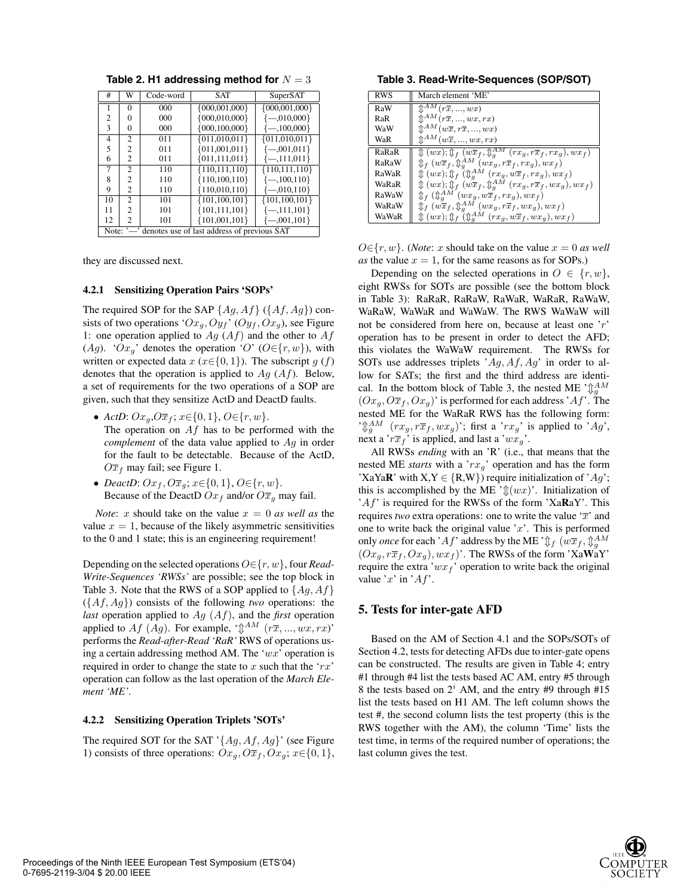| #                                                     | W              | Code-word | <b>SAT</b>          | SuperSAT            |
|-------------------------------------------------------|----------------|-----------|---------------------|---------------------|
| 1                                                     | 0              | 000       | $\{000, 001, 000\}$ | $\{000, 001, 000\}$ |
| 2                                                     | $\Omega$       | 000       | ${000,010,000}$     | $\{-0.010,000\}$    |
| 3                                                     | $\Omega$       | 000       | $\{000, 100, 000\}$ | $\{-100,000\}$      |
| 4                                                     | $\mathfrak{2}$ | 011       | ${011,010,011}$     | ${011,010,011}$     |
| 5                                                     | 2              | 011       | ${011,001,011}$     | $\{-0.001, 0.011\}$ |
| 6                                                     | $\overline{c}$ | 011       | ${011, 111, 011}$   | $\{-111,011\}$      |
| 7                                                     | $\mathfrak{D}$ | 110       | ${110, 111, 110}$   | ${110, 111, 110}$   |
| 8                                                     | 2              | 110       | ${110,100,110}$     | $\{-100, 110\}$     |
| 9                                                     | 2              | 110       | ${110,010,110}$     | $\{-0.010, 110\}$   |
| 10                                                    | $\mathfrak{2}$ | 101       | ${101,100,101}$     | ${101,100,101}$     |
| 11                                                    | $\mathfrak{D}$ | 101       | ${101, 111, 101}$   | $\{-111,101\}$      |
| 12                                                    | 2              | 101       | ${101,001,101}$     | $\{-0.001, 101\}$   |
| Note: '—' denotes use of last address of previous SAT |                |           |                     |                     |

**Table 2. H1 addressing method for** *N* = 3

they are discussed next.

#### **4.2.1 Sensitizing Operation Pairs 'SOPs'**

The required SOP for the SAP {*Ag, Af*} ({*Af, Ag*}) consists of two operations ' $Ox_g$ ,  $Oy_f$ ' ( $Oy_f$ ,  $Ox_g$ ), see Figure 1: one operation applied to *Ag* (*Af*) and the other to *Af* (*Ag*). ' $Ox_q$ ' denotes the operation '*O*' ( $O \in \{r, w\}$ ), with written or expected data  $x$  ( $x \in \{0, 1\}$ ). The subscript  $g(f)$ denotes that the operation is applied to *Ag* (*Af*). Below, a set of requirements for the two operations of a SOP are given, such that they sensitize ActD and DeactD faults.

- *ActD*: *Oxg*,*Oxf* ; *<sup>x</sup>*∈{0*,* <sup>1</sup>}, *<sup>O</sup>*∈{*r, w*}. The operation on *Af* has to be performed with the *complement* of the data value applied to *Ag* in order for the fault to be detectable. Because of the ActD,  $O\overline{x}_f$  may fail; see Figure 1.
- *DeactD:*  $Ox_f$ ,  $O\overline{x}_g$ ;  $x \in \{0, 1\}$ ,  $O \in \{r, w\}$ . Because of the DeactD  $Ox_f$  and/or  $O\overline{x}_g$  may fail.

*Note: x* should take on the value  $x = 0$  *as well as* the value  $x = 1$ , because of the likely asymmetric sensitivities to the 0 and 1 state; this is an engineering requirement!

Depending on the selected operations *O*∈{*r, w*}, four *Read-Write-Sequences 'RWSs'* are possible; see the top block in Table 3. Note that the RWS of a SOP applied to {*Ag, Af*} ({*Af, Ag*}) consists of the following *two* operations: the *last* operation applied to *Ag* (*Af*), and the *first* operation applied to *Af* (*Ag*). For example, ' $\mathcal{D}^{AM}$  ( $r\overline{x}, ..., wx, rx$ )' performs the *Read-after-Read 'RaR'* RWS of operations using a certain addressing method AM. The '*wx*' operation is required in order to change the state to *x* such that the '*rx*' operation can follow as the last operation of the *March Element 'ME'*.

#### **4.2.2 Sensitizing Operation Triplets 'SOTs'**

The required SOT for the SAT '{*Ag, Af, Ag*}' (see Figure 1) consists of three operations:  $Ox_q$ ,  $O\overline{x}_f$ ,  $Ox_q$ ;  $x \in \{0, 1\}$ ,

**Table 3. Read-Write-Sequences (SOP/SOT)**

| <b>RWS</b> | March element 'ME'                                                                              |
|------------|-------------------------------------------------------------------------------------------------|
| RaW        | $\mathbb{\hat{T}}^{AM}(r\overline{x},,wx)$                                                      |
| RaR        | $\hat{\mathbb{C}}^{AM}(r\overline{x},,wx,rx)$                                                   |
| WaW        | $\hat{\mathbb{I}}^{AM}(w\overline{x},r\overline{x},,wx)$                                        |
| WaR        | $\mathbb{\hat{T}}^{AM}(w\overline{x},,wx,rx)$                                                   |
| RaRaR      | $\oint$ $(wx); \oint_f (w\overline{x}_f, \oint_a^{AM} (rx_g, r\overline{x}_f, rx_g), wx_f)$     |
| RaRaW      | $\oint_{f} (w\overline{x}_{f}, \oint_{q}^{AM} (wx_{g}, r\overline{x}_{f}, rx_{g}), wx_{f})$     |
| RaWaR      | $\oint$ $(wx); \oint$ f $(\oint_{q}^{AM}$ $(rx_q, w\overline{x}_f, rx_q), wx_f)$                |
| WaRaR      | $\text{Tr}(wx); \text{Tr}(w\overline{x}_f, \text{Tr}^{AM}(rx_g, r\overline{x}_f, wx_g), wx_f)$  |
| RaWaW      | $\oint_{f} (\hat{\psi}_{a}^{AM}(wx_{g},w\overline{x}_{f},rx_{g}),wx_{f})$                       |
| WaRaW      | $\oint_{f}$ $(w\overline{x}_{f}, \oint_{q}^{AM}$ $(wx_{g}, r\overline{x}_{f}, wx_{g}), wx_{f})$ |
| WaWaR      | $\oint (wx)$ ; $\oint_{f} (\oint_{q}^{AM} (rx_q, w\overline{x}_f, wx_q), wx_f)$                 |

 $O \in \{r, w\}$ . (*Note*: *x* should take on the value  $x = 0$  *as well* as the value  $x = 1$ , for the same reasons as for SOPs.)

Depending on the selected operations in  $O \in \{r, w\}$ , eight RWSs for SOTs are possible (see the bottom block in Table 3): RaRaR, RaRaW, RaWaR, WaRaR, RaWaW, WaRaW, WaWaR and WaWaW. The RWS WaWaW will not be considered from here on, because at least one '*r*' operation has to be present in order to detect the AFD; this violates the WaWaW requirement. The RWSs for SOTs use addresses triplets '*Ag, Af, Ag*' in order to allow for SATs; the first and the third address are identical. In the bottom block of Table 3, the nested ME  $\hat{A}^M_a$  $(Ox_g, O\overline{x}_f, Ox_g)$ ' is performed for each address '*Af*'. The nested ME for the WaRaR RWS has the following form: ' $\int_{g}^{A} M \left( r x_g, r \overline{x}_f, w x_g \right)$ '; first a '*rx<sub>g</sub>*' is applied to '*Ag*', next a '*r*<sup>*x*</sup><sub>*g*</sub>' is applied and last a '*rwg*' next a ' $r\overline{x}_f$ ' is applied, and last a ' $wx_g$ '.

All RWSs *ending* with an 'R' (i.e., that means that the nested ME *starts* with a '*rxg*' operation and has the form 'XaYa**R**' with  $X, Y \in \{R, W\}$ ) require initialization of 'Ag'; this is accomplished by the ME ' $\mathcal{L}(wx)$ '. Initialization of '*Af*' is required for the RWSs of the form 'Xa**R**aY'. This requires *two* extra operations: one to write the value  $\overline{x}$  and one to write back the original value '*x*'. This is performed only *once* for each 'Af' address by the ME ' $\oint_{f}$   $(w\overline{x}_{f}, \oint_{q}^{AM})$  $(Ox_g, r\overline{x}_f, Ox_g)$ ,  $wx_f$ )'. The RWSs of the form 'XaWaY' require the extra ' $wx_f$ ' operation to write back the original value '*x*' in '*Af*'.

# **5. Tests for inter-gate AFD**

Based on the AM of Section 4.1 and the SOPs/SOTs of Section 4.2, tests for detecting AFDs due to inter-gate opens can be constructed. The results are given in Table 4; entry #1 through #4 list the tests based AC AM, entry #5 through 8 the tests based on  $2^i$  AM, and the entry #9 through #15 list the tests based on H1 AM. The left column shows the test #, the second column lists the test property (this is the RWS together with the AM), the column 'Time' lists the test time, in terms of the required number of operations; the last column gives the test.